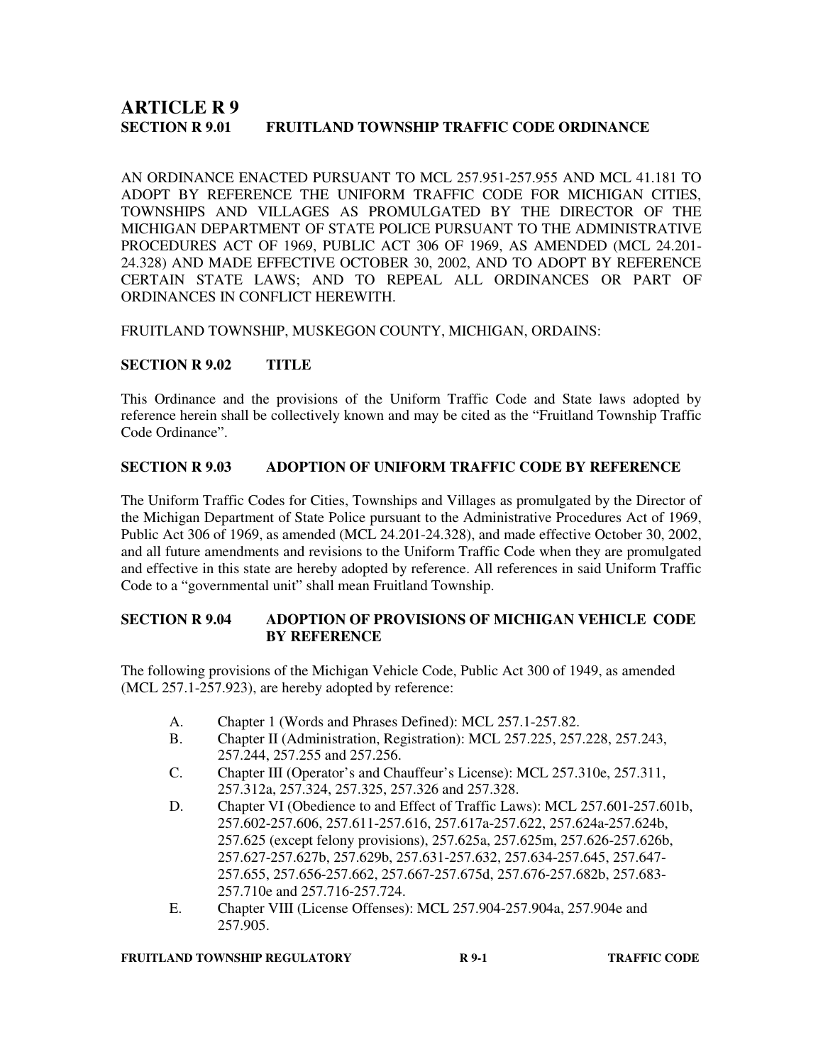# **ARTICLE R 9 SECTION R 9.01 FRUITLAND TOWNSHIP TRAFFIC CODE ORDINANCE**

AN ORDINANCE ENACTED PURSUANT TO MCL 257.951-257.955 AND MCL 41.181 TO ADOPT BY REFERENCE THE UNIFORM TRAFFIC CODE FOR MICHIGAN CITIES, TOWNSHIPS AND VILLAGES AS PROMULGATED BY THE DIRECTOR OF THE MICHIGAN DEPARTMENT OF STATE POLICE PURSUANT TO THE ADMINISTRATIVE PROCEDURES ACT OF 1969, PUBLIC ACT 306 OF 1969, AS AMENDED (MCL 24.201- 24.328) AND MADE EFFECTIVE OCTOBER 30, 2002, AND TO ADOPT BY REFERENCE CERTAIN STATE LAWS; AND TO REPEAL ALL ORDINANCES OR PART OF ORDINANCES IN CONFLICT HEREWITH.

FRUITLAND TOWNSHIP, MUSKEGON COUNTY, MICHIGAN, ORDAINS:

# **SECTION R 9.02 TITLE**

This Ordinance and the provisions of the Uniform Traffic Code and State laws adopted by reference herein shall be collectively known and may be cited as the "Fruitland Township Traffic Code Ordinance".

# **SECTION R 9.03 ADOPTION OF UNIFORM TRAFFIC CODE BY REFERENCE**

The Uniform Traffic Codes for Cities, Townships and Villages as promulgated by the Director of the Michigan Department of State Police pursuant to the Administrative Procedures Act of 1969, Public Act 306 of 1969, as amended (MCL 24.201-24.328), and made effective October 30, 2002, and all future amendments and revisions to the Uniform Traffic Code when they are promulgated and effective in this state are hereby adopted by reference. All references in said Uniform Traffic Code to a "governmental unit" shall mean Fruitland Township.

# **SECTION R 9.04 ADOPTION OF PROVISIONS OF MICHIGAN VEHICLE CODE BY REFERENCE**

The following provisions of the Michigan Vehicle Code, Public Act 300 of 1949, as amended (MCL 257.1-257.923), are hereby adopted by reference:

- A. Chapter 1 (Words and Phrases Defined): MCL 257.1-257.82.
- B. Chapter II (Administration, Registration): MCL 257.225, 257.228, 257.243, 257.244, 257.255 and 257.256.
- C. Chapter III (Operator's and Chauffeur's License): MCL 257.310e, 257.311, 257.312a, 257.324, 257.325, 257.326 and 257.328.
- D. Chapter VI (Obedience to and Effect of Traffic Laws): MCL 257.601-257.601b, 257.602-257.606, 257.611-257.616, 257.617a-257.622, 257.624a-257.624b, 257.625 (except felony provisions), 257.625a, 257.625m, 257.626-257.626b, 257.627-257.627b, 257.629b, 257.631-257.632, 257.634-257.645, 257.647- 257.655, 257.656-257.662, 257.667-257.675d, 257.676-257.682b, 257.683- 257.710e and 257.716-257.724.
- E. Chapter VIII (License Offenses): MCL 257.904-257.904a, 257.904e and 257.905.

#### **FRUITLAND TOWNSHIP REGULATORY R 9-1 R 9-1 TRAFFIC CODE**